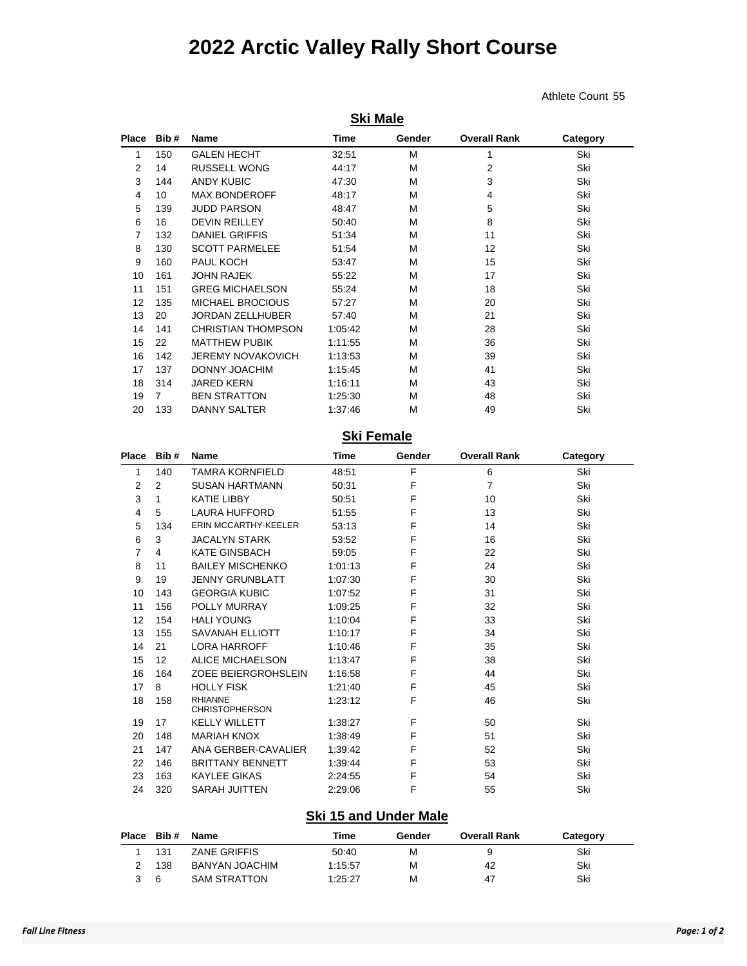## **2022 Arctic Valley Rally Short Course**

**Ski Male**

Athlete Count 55

| Place | Bib# | <b>Name</b>               | <b>Time</b> | Gender | <b>Overall Rank</b> | Category |
|-------|------|---------------------------|-------------|--------|---------------------|----------|
| 1     | 150  | <b>GALEN HECHT</b>        | 32:51       | M      | 1                   | Ski      |
| 2     | 14   | <b>RUSSELL WONG</b>       | 44:17       | M      | $\overline{2}$      | Ski      |
| 3     | 144  | <b>ANDY KUBIC</b>         | 47:30       | м      | 3                   | Ski      |
| 4     | 10   | <b>MAX BONDEROFF</b>      | 48:17       | м      | 4                   | Ski      |
| 5     | 139  | <b>JUDD PARSON</b>        | 48:47       | M      | 5                   | Ski      |
| 6     | 16   | <b>DEVIN REILLEY</b>      | 50:40       | М      | 8                   | Ski      |
| 7     | 132  | <b>DANIEL GRIFFIS</b>     | 51:34       | М      | 11                  | Ski      |
| 8     | 130  | <b>SCOTT PARMELEE</b>     | 51:54       | М      | 12                  | Ski      |
| 9     | 160  | PAUL KOCH                 | 53:47       | м      | 15                  | Ski      |
| 10    | 161  | <b>JOHN RAJEK</b>         | 55:22       | М      | 17                  | Ski      |
| 11    | 151  | <b>GREG MICHAELSON</b>    | 55:24       | M      | 18                  | Ski      |
| 12    | 135  | <b>MICHAEL BROCIOUS</b>   | 57:27       | м      | 20                  | Ski      |
| 13    | 20   | <b>JORDAN ZELLHUBER</b>   | 57:40       | M      | 21                  | Ski      |
| 14    | 141  | <b>CHRISTIAN THOMPSON</b> | 1:05:42     | M      | 28                  | Ski      |
| 15    | 22   | <b>MATTHEW PUBIK</b>      | 1:11:55     | M      | 36                  | Ski      |
| 16    | 142  | <b>JEREMY NOVAKOVICH</b>  | 1:13:53     | М      | 39                  | Ski      |
| 17    | 137  | <b>DONNY JOACHIM</b>      | 1:15:45     | M      | 41                  | Ski      |
| 18    | 314  | <b>JARED KERN</b>         | 1:16:11     | M      | 43                  | Ski      |
| 19    | 7    | <b>BEN STRATTON</b>       | 1:25:30     | М      | 48                  | Ski      |
| 20    | 133  | DANNY SALTER              | 1:37:46     | м      | 49                  | Ski      |
|       |      |                           | Chi Eamala  |        |                     |          |

#### **Ski Female**

| Place          | Bib# | <b>Name</b>                             | Time    | Gender | <b>Overall Rank</b> | Category |  |
|----------------|------|-----------------------------------------|---------|--------|---------------------|----------|--|
| 1              | 140  | <b>TAMRA KORNFIELD</b>                  | 48:51   | F      | 6                   | Ski      |  |
| $\overline{2}$ | 2    | <b>SUSAN HARTMANN</b>                   | 50:31   | F      | $\overline{7}$      | Ski      |  |
| 3              | 1    | <b>KATIE LIBBY</b>                      | 50:51   | F      | 10                  | Ski      |  |
| $\overline{4}$ | 5    | <b>LAURA HUFFORD</b>                    | 51:55   | F      | 13                  | Ski      |  |
| 5              | 134  | <b>ERIN MCCARTHY-KEELER</b>             | 53:13   | F      | 14                  | Ski      |  |
| 6              | 3    | <b>JACALYN STARK</b>                    | 53:52   | F      | 16                  | Ski      |  |
| 7              | 4    | <b>KATE GINSBACH</b>                    | 59:05   | F      | 22                  | Ski      |  |
| 8              | 11   | <b>BAILEY MISCHENKO</b>                 | 1:01:13 | F      | 24                  | Ski      |  |
| 9              | 19   | <b>JENNY GRUNBLATT</b>                  | 1:07:30 | F      | 30                  | Ski      |  |
| 10             | 143  | <b>GEORGIA KUBIC</b>                    | 1:07:52 | F      | 31                  | Ski      |  |
| 11             | 156  | POLLY MURRAY                            | 1:09:25 | F      | 32                  | Ski      |  |
| 12             | 154  | <b>HALI YOUNG</b>                       | 1:10:04 | F      | 33                  | Ski      |  |
| 13             | 155  | <b>SAVANAH ELLIOTT</b>                  | 1:10:17 | F      | 34                  | Ski      |  |
| 14             | 21   | <b>LORA HARROFF</b>                     | 1:10:46 | F      | 35                  | Ski      |  |
| 15             | 12   | <b>ALICE MICHAELSON</b>                 | 1:13:47 | F      | 38                  | Ski      |  |
| 16             | 164  | ZOEE BEIERGROHSLEIN                     | 1:16:58 | F      | 44                  | Ski      |  |
| 17             | 8    | <b>HOLLY FISK</b>                       | 1:21:40 | F      | 45                  | Ski      |  |
| 18             | 158  | <b>RHIANNE</b><br><b>CHRISTOPHERSON</b> | 1:23:12 | F      | 46                  | Ski      |  |
| 19             | 17   | <b>KELLY WILLETT</b>                    | 1:38:27 | F      | 50                  | Ski      |  |
| 20             | 148  | <b>MARIAH KNOX</b>                      | 1:38:49 | F      | 51                  | Ski      |  |
| 21             | 147  | ANA GERBER-CAVALIER                     | 1:39:42 | F      | 52                  | Ski      |  |
| 22             | 146  | <b>BRITTANY BENNETT</b>                 | 1:39:44 | F      | 53                  | Ski      |  |
| 23             | 163  | <b>KAYLEE GIKAS</b>                     | 2:24:55 | F      | 54                  | Ski      |  |
| 24             | 320  | <b>SARAH JUITTEN</b>                    | 2:29:06 | F      | 55                  | Ski      |  |

#### **Ski 15 and Under Male**

| Place | Bib # | Name                | Time    | Gender | <b>Overall Rank</b> | Category |
|-------|-------|---------------------|---------|--------|---------------------|----------|
|       | 131   | <b>ZANE GRIFFIS</b> | 50:40   | м      |                     | Ski      |
|       | 138   | BANYAN JOACHIM      | 1:15:57 | м      | 42                  | Ski      |
| 3     | 6     | <b>SAM STRATTON</b> | 1:25:27 | м      | 47                  | Ski      |